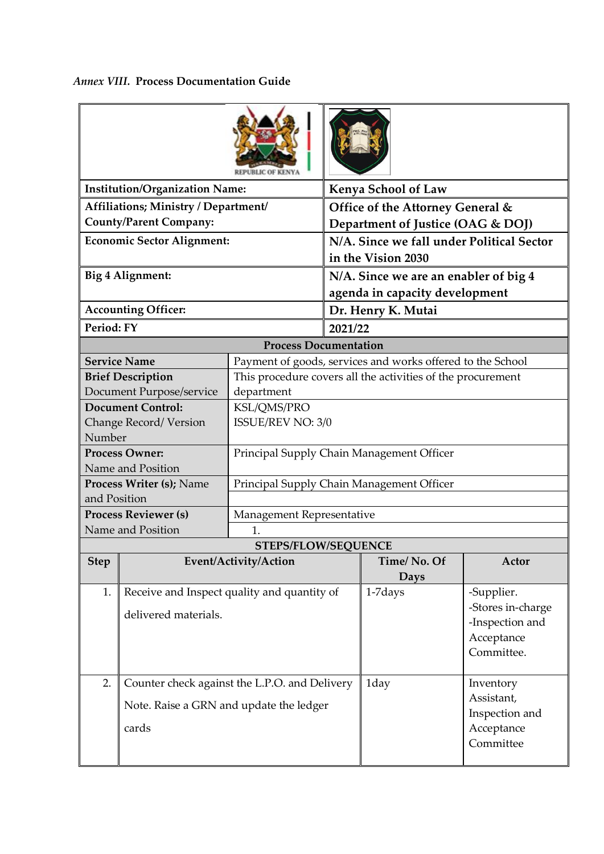*Annex VIII.* **Process Documentation Guide** 

|                                                                                                | <b>Institution/Organization Name:</b>                               |                                           |                                                                         | <b>Kenya School of Law</b>                                                                 |                                           |  |  |
|------------------------------------------------------------------------------------------------|---------------------------------------------------------------------|-------------------------------------------|-------------------------------------------------------------------------|--------------------------------------------------------------------------------------------|-------------------------------------------|--|--|
|                                                                                                | Affiliations; Ministry / Department/                                |                                           |                                                                         |                                                                                            |                                           |  |  |
|                                                                                                | <b>County/Parent Company:</b>                                       |                                           | Office of the Attorney General &<br>Department of Justice (OAG & DOJ)   |                                                                                            |                                           |  |  |
| <b>Economic Sector Alignment:</b>                                                              |                                                                     |                                           | N/A. Since we fall under Political Sector<br>in the Vision 2030         |                                                                                            |                                           |  |  |
| Big 4 Alignment:                                                                               |                                                                     |                                           | N/A. Since we are an enabler of big 4<br>agenda in capacity development |                                                                                            |                                           |  |  |
|                                                                                                | <b>Accounting Officer:</b>                                          |                                           |                                                                         | Dr. Henry K. Mutai                                                                         |                                           |  |  |
| Period: FY                                                                                     |                                                                     |                                           | 2021/22                                                                 |                                                                                            |                                           |  |  |
|                                                                                                |                                                                     | <b>Process Documentation</b>              |                                                                         |                                                                                            |                                           |  |  |
|                                                                                                | <b>Service Name</b>                                                 |                                           |                                                                         | Payment of goods, services and works offered to the School                                 |                                           |  |  |
|                                                                                                | <b>Brief Description</b>                                            |                                           |                                                                         | This procedure covers all the activities of the procurement                                |                                           |  |  |
|                                                                                                | Document Purpose/service                                            | department                                |                                                                         |                                                                                            |                                           |  |  |
|                                                                                                | <b>Document Control:</b>                                            | KSL/QMS/PRO                               |                                                                         |                                                                                            |                                           |  |  |
|                                                                                                | Change Record/Version                                               |                                           | ISSUE/REV NO: 3/0                                                       |                                                                                            |                                           |  |  |
| Number                                                                                         |                                                                     |                                           |                                                                         |                                                                                            |                                           |  |  |
| <b>Process Owner:</b>                                                                          |                                                                     | Principal Supply Chain Management Officer |                                                                         |                                                                                            |                                           |  |  |
| Name and Position                                                                              |                                                                     |                                           |                                                                         |                                                                                            |                                           |  |  |
|                                                                                                | <b>Process Writer (s); Name</b>                                     | Principal Supply Chain Management Officer |                                                                         |                                                                                            |                                           |  |  |
| and Position                                                                                   |                                                                     |                                           |                                                                         |                                                                                            |                                           |  |  |
| <b>Process Reviewer (s)</b>                                                                    |                                                                     | Management Representative                 |                                                                         |                                                                                            |                                           |  |  |
| Name and Position<br>$\mathbf{1}$ .                                                            |                                                                     |                                           |                                                                         |                                                                                            |                                           |  |  |
|                                                                                                |                                                                     | <b>STEPS/FLOW/SEQUENCE</b>                |                                                                         | Time/No. Of                                                                                | <b>Actor</b>                              |  |  |
| <b>Step</b>                                                                                    |                                                                     | Event/Activity/Action                     |                                                                         | Days                                                                                       |                                           |  |  |
| 1.                                                                                             | Receive and Inspect quality and quantity of<br>delivered materials. |                                           |                                                                         | -Supplier.<br>1-7 days<br>-Stores in-charge<br>-Inspection and<br>Acceptance<br>Committee. |                                           |  |  |
| 2.<br>Counter check against the L.P.O. and Delivery<br>Note. Raise a GRN and update the ledger |                                                                     |                                           |                                                                         | 1day                                                                                       | Inventory<br>Assistant,<br>Inspection and |  |  |
|                                                                                                | cards                                                               |                                           |                                                                         |                                                                                            | Acceptance<br>Committee                   |  |  |